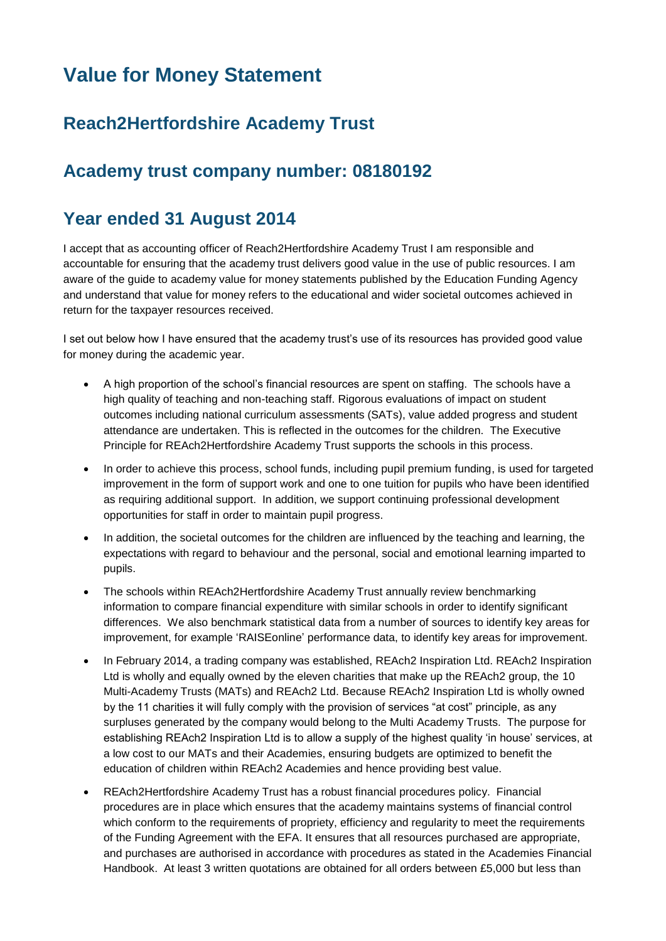# **Value for Money Statement**

## **Reach2Hertfordshire Academy Trust**

### **Academy trust company number: 08180192**

#### **Year ended 31 August 2014**

I accept that as accounting officer of Reach2Hertfordshire Academy Trust I am responsible and accountable for ensuring that the academy trust delivers good value in the use of public resources. I am aware of the guide to academy value for money statements published by the Education Funding Agency and understand that value for money refers to the educational and wider societal outcomes achieved in return for the taxpayer resources received.

I set out below how I have ensured that the academy trust's use of its resources has provided good value for money during the academic year.

- A high proportion of the school's financial resources are spent on staffing. The schools have a high quality of teaching and non-teaching staff. Rigorous evaluations of impact on student outcomes including national curriculum assessments (SATs), value added progress and student attendance are undertaken. This is reflected in the outcomes for the children. The Executive Principle for REAch2Hertfordshire Academy Trust supports the schools in this process.
- In order to achieve this process, school funds, including pupil premium funding, is used for targeted improvement in the form of support work and one to one tuition for pupils who have been identified as requiring additional support. In addition, we support continuing professional development opportunities for staff in order to maintain pupil progress.
- In addition, the societal outcomes for the children are influenced by the teaching and learning, the expectations with regard to behaviour and the personal, social and emotional learning imparted to pupils.
- The schools within REAch2Hertfordshire Academy Trust annually review benchmarking information to compare financial expenditure with similar schools in order to identify significant differences. We also benchmark statistical data from a number of sources to identify key areas for improvement, for example 'RAISEonline' performance data, to identify key areas for improvement.
- In February 2014, a trading company was established, REAch2 Inspiration Ltd. REAch2 Inspiration Ltd is wholly and equally owned by the eleven charities that make up the REAch2 group, the 10 Multi-Academy Trusts (MATs) and REAch2 Ltd. Because REAch2 Inspiration Ltd is wholly owned by the 11 charities it will fully comply with the provision of services "at cost" principle, as any surpluses generated by the company would belong to the Multi Academy Trusts. The purpose for establishing REAch2 Inspiration Ltd is to allow a supply of the highest quality 'in house' services, at a low cost to our MATs and their Academies, ensuring budgets are optimized to benefit the education of children within REAch2 Academies and hence providing best value.
- REAch2Hertfordshire Academy Trust has a robust financial procedures policy. Financial procedures are in place which ensures that the academy maintains systems of financial control which conform to the requirements of propriety, efficiency and regularity to meet the requirements of the Funding Agreement with the EFA. It ensures that all resources purchased are appropriate, and purchases are authorised in accordance with procedures as stated in the Academies Financial Handbook. At least 3 written quotations are obtained for all orders between £5,000 but less than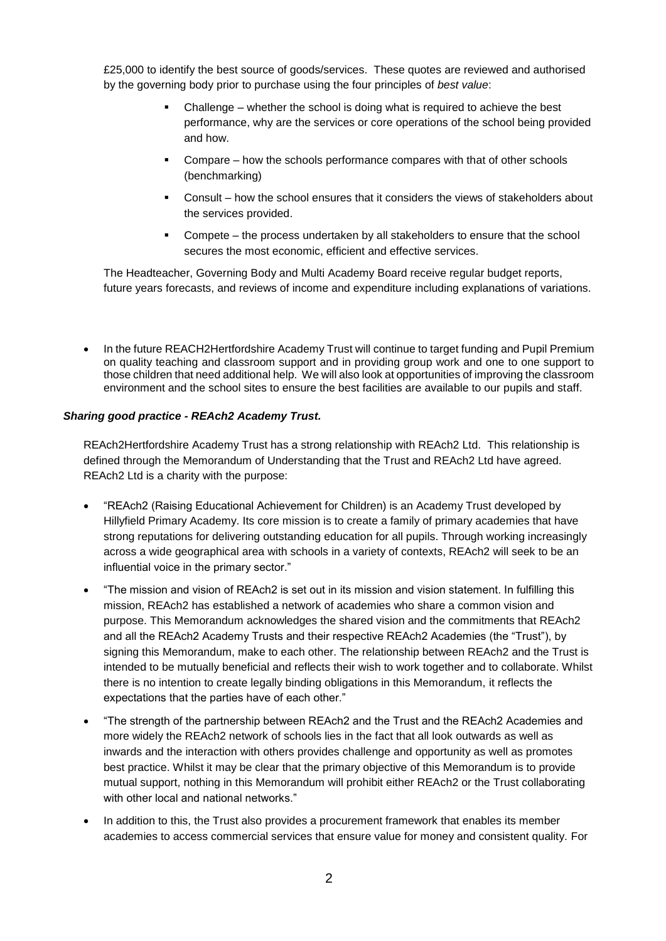£25,000 to identify the best source of goods/services. These quotes are reviewed and authorised by the governing body prior to purchase using the four principles of *best value*:

- Challenge whether the school is doing what is required to achieve the best performance, why are the services or core operations of the school being provided and how.
- Compare how the schools performance compares with that of other schools (benchmarking)
- Consult how the school ensures that it considers the views of stakeholders about the services provided.
- Compete the process undertaken by all stakeholders to ensure that the school secures the most economic, efficient and effective services.

The Headteacher, Governing Body and Multi Academy Board receive regular budget reports, future years forecasts, and reviews of income and expenditure including explanations of variations.

 In the future REACH2Hertfordshire Academy Trust will continue to target funding and Pupil Premium on quality teaching and classroom support and in providing group work and one to one support to those children that need additional help. We will also look at opportunities of improving the classroom environment and the school sites to ensure the best facilities are available to our pupils and staff.

#### *Sharing good practice - REAch2 Academy Trust.*

REAch2Hertfordshire Academy Trust has a strong relationship with REAch2 Ltd. This relationship is defined through the Memorandum of Understanding that the Trust and REAch2 Ltd have agreed. REAch2 Ltd is a charity with the purpose:

- "REAch2 (Raising Educational Achievement for Children) is an Academy Trust developed by Hillyfield Primary Academy. Its core mission is to create a family of primary academies that have strong reputations for delivering outstanding education for all pupils. Through working increasingly across a wide geographical area with schools in a variety of contexts, REAch2 will seek to be an influential voice in the primary sector."
- "The mission and vision of REAch2 is set out in its mission and vision statement. In fulfilling this mission, REAch2 has established a network of academies who share a common vision and purpose. This Memorandum acknowledges the shared vision and the commitments that REAch2 and all the REAch2 Academy Trusts and their respective REAch2 Academies (the "Trust"), by signing this Memorandum, make to each other. The relationship between REAch2 and the Trust is intended to be mutually beneficial and reflects their wish to work together and to collaborate. Whilst there is no intention to create legally binding obligations in this Memorandum, it reflects the expectations that the parties have of each other."
- "The strength of the partnership between REAch2 and the Trust and the REAch2 Academies and more widely the REAch2 network of schools lies in the fact that all look outwards as well as inwards and the interaction with others provides challenge and opportunity as well as promotes best practice. Whilst it may be clear that the primary objective of this Memorandum is to provide mutual support, nothing in this Memorandum will prohibit either REAch2 or the Trust collaborating with other local and national networks."
- In addition to this, the Trust also provides a procurement framework that enables its member academies to access commercial services that ensure value for money and consistent quality. For